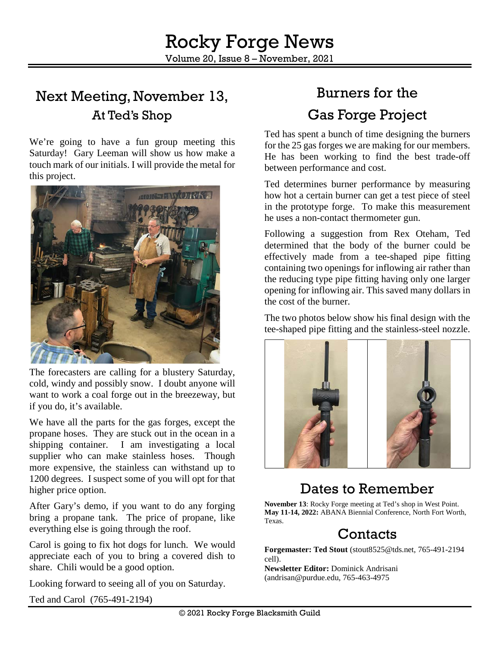## Next Meeting, November 13, At Ted's Shop

We're going to have a fun group meeting this Saturday! Gary Leeman will show us how make a touch mark of our initials. I will provide the metal for this project.



The forecasters are calling for a blustery Saturday, cold, windy and possibly snow. I doubt anyone will want to work a coal forge out in the breezeway, but if you do, it's available.

We have all the parts for the gas forges, except the propane hoses. They are stuck out in the ocean in a shipping container. I am investigating a local supplier who can make stainless hoses. Though more expensive, the stainless can withstand up to 1200 degrees. I suspect some of you will opt for that higher price option.

After Gary's demo, if you want to do any forging bring a propane tank. The price of propane, like everything else is going through the roof.

Carol is going to fix hot dogs for lunch. We would appreciate each of you to bring a covered dish to share. Chili would be a good option.

Looking forward to seeing all of you on Saturday.

Ted and Carol [\(765-491-2194\)](tel:765-491-2194)

# Burners for the Gas Forge Project

Ted has spent a bunch of time designing the burners for the 25 gas forges we are making for our members. He has been working to find the best trade-off between performance and cost.

Ted determines burner performance by measuring how hot a certain burner can get a test piece of steel in the prototype forge. To make this measurement he uses a non-contact thermometer gun.

Following a suggestion from Rex Oteham, Ted determined that the body of the burner could be effectively made from a tee-shaped pipe fitting containing two openings for inflowing air rather than the reducing type pipe fitting having only one larger opening for inflowing air. This saved many dollars in the cost of the burner.

The two photos below show his final design with the tee-shaped pipe fitting and the stainless-steel nozzle.



## Dates to Remember

**November 13**: Rocky Forge meeting at Ted's shop in West Point. **May 11-14, 2022:** ABANA Biennial Conference, North Fort Worth, Texas.

## Contacts

**Forgemaster: Ted Stout** [\(stout8525@tds.net,](mailto:stout8525@tds.net) 765-491-2194 cell).

**Newsletter Editor:** Dominick Andrisani [\(andrisan@purdue.edu,](mailto:andrisan@purdue.edu) 765-463-4975